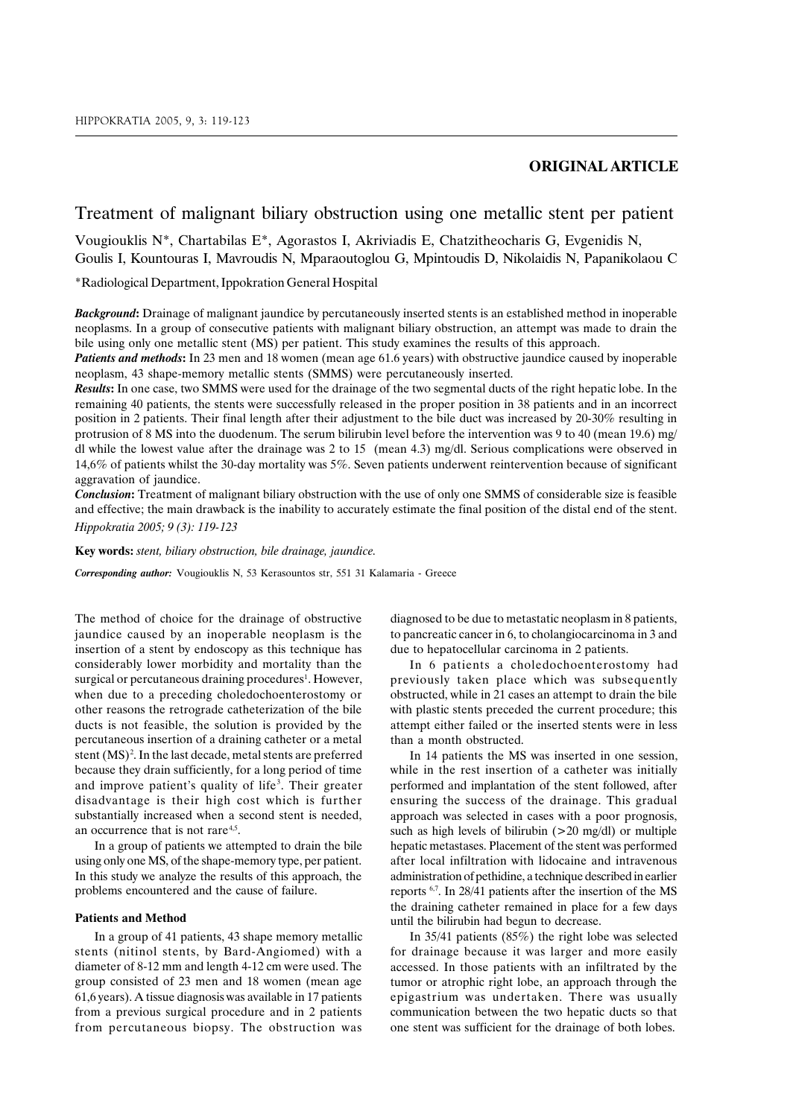# **ORIGINAL ARTICLE**

## Treatment of malignant biliary obstruction using one metallic stent per patient

Vougiouklis N<sup>\*</sup>, Chartabilas E<sup>\*</sup>, Agorastos I, Akriviadis E, Chatzitheocharis G, Evgenidis N, Goulis I, Kountouras I, Mavroudis N, Mparaoutoglou G, Mpintoudis D, Nikolaidis N, Papanikolaou C

\*Radiological Department, Ippokration General Hospital

**Background:** Drainage of malignant jaundice by percutaneously inserted stents is an established method in inoperable neoplasms. In a group of consecutive patients with malignant biliary obstruction, an attempt was made to drain the bile using only one metallic stent (MS) per patient. This study examines the results of this approach.

Patients and methods: In 23 men and 18 women (mean age 61.6 years) with obstructive jaundice caused by inoperable neoplasm, 43 shape-memory metallic stents (SMMS) were percutaneously inserted.

Results: In one case, two SMMS were used for the drainage of the two segmental ducts of the right hepatic lobe. In the remaining 40 patients, the stents were successfully released in the proper position in 38 patients and in an incorrect position in 2 patients. Their final length after their adjustment to the bile duct was increased by 20-30% resulting in protrusion of 8 MS into the duodenum. The serum bilirubin level before the intervention was 9 to 40 (mean 19.6) mg/ dl while the lowest value after the drainage was  $2$  to 15 (mean 4.3) mg/dl. Serious complications were observed in 14,6% of patients whilst the 30-day mortality was 5%. Seven patients underwent reintervention because of significant aggravation of jaundice.

**Conclusion:** Treatment of malignant biliary obstruction with the use of only one SMMS of considerable size is feasible and effective; the main drawback is the inability to accurately estimate the final position of the distal end of the stent. Hippokratia 2005; 9 (3): 119-123

**Key words:** *stent. biliary obstruction. bile drainage. jaundice.* 

Corresponding author: Vougiouklis N, 53 Kerasountos str, 551 31 Kalamaria - Greece

The method of choice for the drainage of obstructive jaundice caused by an inoperable neoplasm is the insertion of a stent by endoscopy as this technique has considerably lower morbidity and mortality than the surgical or percutaneous draining procedures<sup>1</sup>. However, when due to a preceding choledochoenterostomy or other reasons the retrograde catheterization of the bile ducts is not feasible, the solution is provided by the percutaneous insertion of a draining catheter or a metal stent (MS)<sup>2</sup>. In the last decade, metal stents are preferred because they drain sufficiently, for a long period of time and improve patient's quality of life<sup>3</sup>. Their greater disadvantage is their high cost which is further substantially increased when a second stent is needed, an occurrence that is not rare<sup>4,5</sup>.

In a group of patients we attempted to drain the bile using only one MS, of the shape-memory type, per patient. In this study we analyze the results of this approach, the problems encountered and the cause of failure.

#### **Patients and Method**

In a group of 41 patients, 43 shape memory metallic stents (nitinol stents, by Bard-Angiomed) with a diameter of 8-12 mm and length 4-12 cm were used. The group consisted of 23 men and 18 women (mean age 61,6 years). A tissue diagnosis was available in 17 patients from a previous surgical procedure and in 2 patients from percutaneous biopsy. The obstruction was

diagnosed to be due to metastatic neoplasm in 8 patients. to pancreatic cancer in 6, to cholangiocarcinoma in 3 and due to hepatocellular carcinoma in 2 patients.

In 6 patients a choledochoenterostomy had previously taken place which was subsequently obstructed, while in 21 cases an attempt to drain the bile with plastic stents preceded the current procedure; this attempt either failed or the inserted stents were in less than a month obstructed.

In 14 patients the MS was inserted in one session, while in the rest insertion of a catheter was initially performed and implantation of the stent followed, after ensuring the success of the drainage. This gradual approach was selected in cases with a poor prognosis. such as high levels of bilirubin  $(>20 \text{ mg/dl})$  or multiple hepatic metastases. Placement of the stent was performed after local infiltration with lidocaine and intravenous administration of pethidine, a technique described in earlier reports <sup>6,7</sup>. In 28/41 patients after the insertion of the MS the draining catheter remained in place for a few days until the bilirubin had begun to decrease.

In  $35/41$  patients  $(85\%)$  the right lobe was selected for drainage because it was larger and more easily accessed. In those patients with an infiltrated by the tumor or atrophic right lobe, an approach through the epigastrium was undertaken. There was usually communication between the two hepatic ducts so that one stent was sufficient for the drainage of both lobes.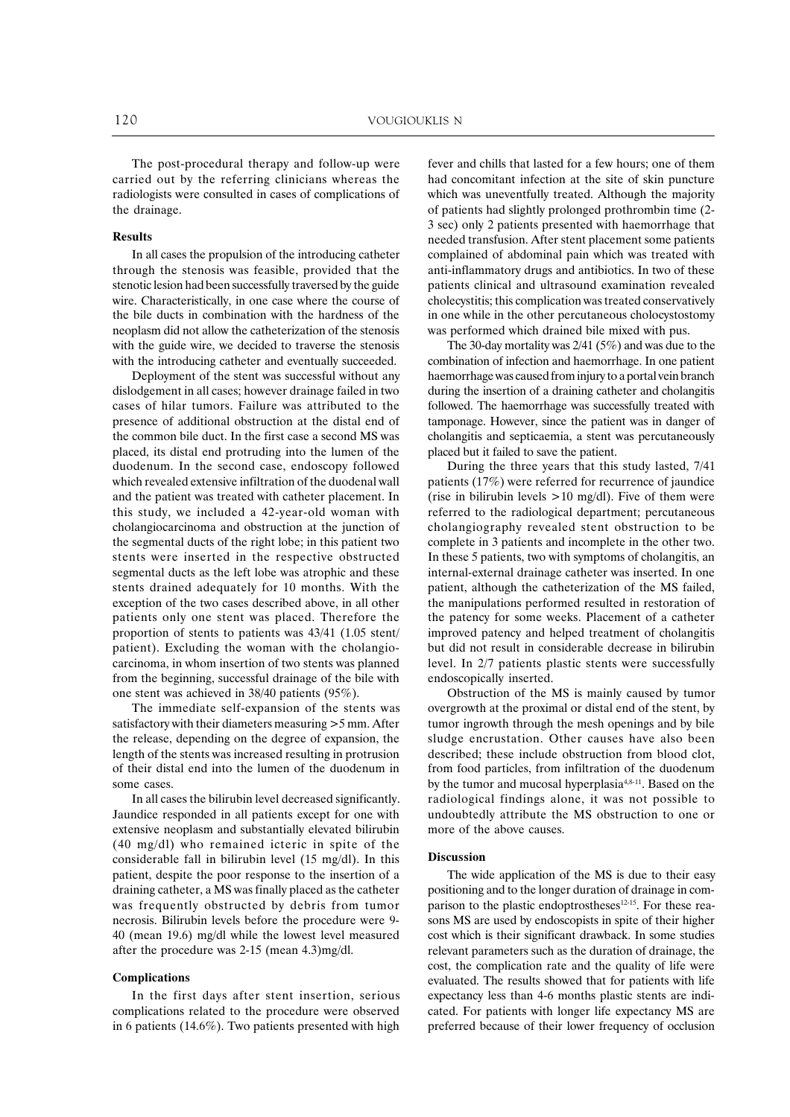The post-procedural therapy and follow-up were carried out by the referring clinicians whereas the radiologists were consulted in cases of complications of the drainage.

#### **Results**

In all cases the propulsion of the introducing catheter through the stenosis was feasible, provided that the stenotic lesion had been successfully traversed by the guide wire. Characteristically, in one case where the course of the bile ducts in combination with the hardness of the neoplasm did not allow the catheterization of the stenosis with the guide wire, we decided to traverse the stenosis with the introducing catheter and eventually succeeded.

Deployment of the stent was successful without any dislodgement in all cases; however drainage failed in two cases of hilar tumors. Failure was attributed to the presence of additional obstruction at the distal end of the common bile duct. In the first case a second MS was placed, its distal end protruding into the lumen of the duodenum. In the second case, endoscopy followed which revealed extensive infiltration of the duodenal wall and the patient was treated with catheter placement. In this study, we included a 42-year-old woman with cholangiocarcinoma and obstruction at the junction of the segmental ducts of the right lobe; in this patient two stents were inserted in the respective obstructed segmental ducts as the left lobe was atrophic and these stents drained adequately for 10 months. With the exception of the two cases described above, in all other patients only one stent was placed. Therefore the proportion of stents to patients was 43/41 (1.05 stent) patient). Excluding the woman with the cholangiocarcinoma, in whom insertion of two stents was planned from the beginning, successful drainage of the bile with one stent was achieved in 38/40 patients (95%).

The immediate self-expansion of the stents was satisfactory with their diameters measuring > 5 mm. After the release, depending on the degree of expansion, the length of the stents was increased resulting in protrusion of their distal end into the lumen of the duodenum in some cases

In all cases the bilirubin level decreased significantly. Jaundice responded in all patients except for one with extensive neoplasm and substantially elevated bilirubin (40 mg/dl) who remained icteric in spite of the considerable fall in bilirubin level (15 mg/dl). In this patient, despite the poor response to the insertion of a draining catheter, a MS was finally placed as the catheter was frequently obstructed by debris from tumor necrosis. Bilirubin levels before the procedure were 9-40 (mean 19.6) mg/dl while the lowest level measured after the procedure was 2-15 (mean 4.3)mg/dl.

#### **Complications**

In the first days after stent insertion, serious complications related to the procedure were observed in 6 patients (14.6%). Two patients presented with high

fever and chills that lasted for a few hours; one of them had concomitant infection at the site of skin puncture which was uneventfully treated. Although the majority of patients had slightly prolonged prothrombin time (2-3 sec) only 2 patients presented with haemorrhage that needed transfusion. After stent placement some patients complained of abdominal pain which was treated with anti-inflammatory drugs and antibiotics. In two of these patients clinical and ultrasound examination revealed cholecystitis; this complication was treated conservatively in one while in the other percutaneous cholocystostomy was performed which drained bile mixed with pus.

The 30-day mortality was  $2/41$  (5%) and was due to the combination of infection and haemorrhage. In one patient haemorrhage was caused from injury to a portal vein branch during the insertion of a draining catheter and cholangitis followed. The haemorrhage was successfully treated with tamponage. However, since the patient was in danger of cholangitis and septicaemia, a stent was percutaneously placed but it failed to save the patient.

During the three years that this study lasted, 7/41 patients (17%) were referred for recurrence of jaundice (rise in bilirubin levels  $>10$  mg/dl). Five of them were referred to the radiological department; percutaneous cholangiography revealed stent obstruction to be complete in 3 patients and incomplete in the other two. In these 5 patients, two with symptoms of cholangitis, an internal-external drainage catheter was inserted. In one patient, although the catheterization of the MS failed, the manipulations performed resulted in restoration of the patency for some weeks. Placement of a catheter improved patency and helped treatment of cholangitis but did not result in considerable decrease in bilirubin level. In 2/7 patients plastic stents were successfully endoscopically inserted.

Obstruction of the MS is mainly caused by tumor overgrowth at the proximal or distal end of the stent, by tumor ingrowth through the mesh openings and by bile sludge encrustation. Other causes have also been described; these include obstruction from blood clot, from food particles, from infiltration of the duodenum by the tumor and mucosal hyperplasia<sup>4,8-11</sup>. Based on the radiological findings alone, it was not possible to undoubtedly attribute the MS obstruction to one or more of the above causes.

### **Discussion**

The wide application of the MS is due to their easy positioning and to the longer duration of drainage in comparison to the plastic endoptrostheses<sup>12-15</sup>. For these reasons MS are used by endoscopists in spite of their higher cost which is their significant drawback. In some studies relevant parameters such as the duration of drainage, the cost, the complication rate and the quality of life were evaluated. The results showed that for patients with life expectancy less than 4-6 months plastic stents are indicated. For patients with longer life expectancy MS are preferred because of their lower frequency of occlusion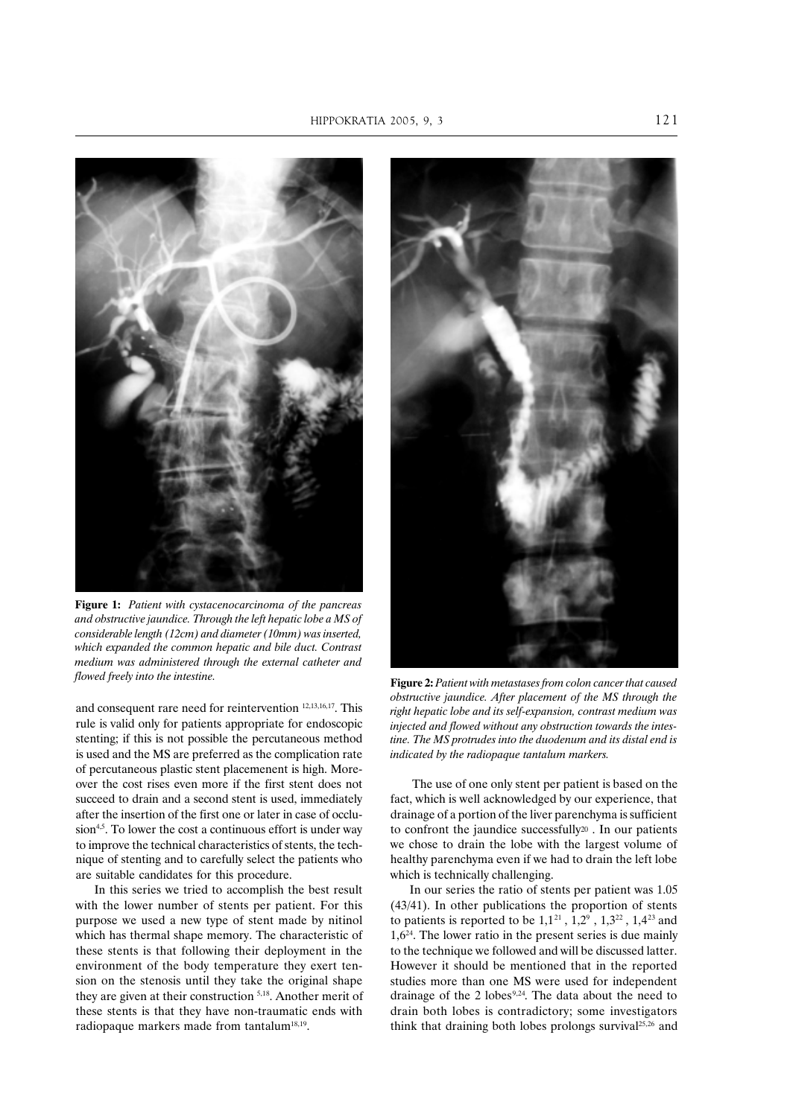

Figure 1: Patient with cystacenocarcinoma of the pancreas and obstructive jaundice. Through the left hepatic lobe a MS of considerable length (12cm) and diameter (10mm) was inserted. which expanded the common hepatic and bile duct. Contrast medium was administered through the external catheter and flowed freely into the intestine.

and consequent rare need for reintervention<sup>12,13,16,17</sup>. This rule is valid only for patients appropriate for endoscopic stenting; if this is not possible the percutaneous method is used and the MS are preferred as the complication rate of percutaneous plastic stent placemenent is high. Moreover the cost rises even more if the first stent does not succeed to drain and a second stent is used, immediately after the insertion of the first one or later in case of occlu- $\sinh^{4.5}$ . To lower the cost a continuous effort is under way to improve the technical characteristics of stents, the technique of stenting and to carefully select the patients who are suitable candidates for this procedure.

In this series we tried to accomplish the best result with the lower number of stents per patient. For this purpose we used a new type of stent made by nitinol which has thermal shape memory. The characteristic of these stents is that following their deployment in the environment of the body temperature they exert tension on the stenosis until they take the original shape they are given at their construction  $5,18$ . Another merit of these stents is that they have non-traumatic ends with radiopaque markers made from tantalum<sup>18,19</sup>.



Figure 2: Patient with metastases from colon cancer that caused obstructive jaundice. After placement of the MS through the right hepatic lobe and its self-expansion, contrast medium was injected and flowed without any obstruction towards the intestine. The MS protrudes into the duodenum and its distal end is indicated by the radiopaque tantalum markers.

The use of one only stent per patient is based on the fact, which is well acknowledged by our experience, that drainage of a portion of the liver parenchyma is sufficient to confront the jaundice successfully<sup>20</sup>. In our patients we chose to drain the lobe with the largest volume of healthy parenchyma even if we had to drain the left lobe which is technically challenging.

In our series the ratio of stents per patient was 1.05  $(43/41)$ . In other publications the proportion of stents to patients is reported to be  $1,1^{21}$ ,  $1,2^9$ ,  $1,3^{22}$ ,  $1,4^{23}$  and  $1.6<sup>24</sup>$ . The lower ratio in the present series is due mainly to the technique we followed and will be discussed latter. However it should be mentioned that in the reported studies more than one MS were used for independent drainage of the 2 lobes<sup>9,24</sup>. The data about the need to drain both lobes is contradictory; some investigators think that draining both lobes prolongs survival<sup>25,26</sup> and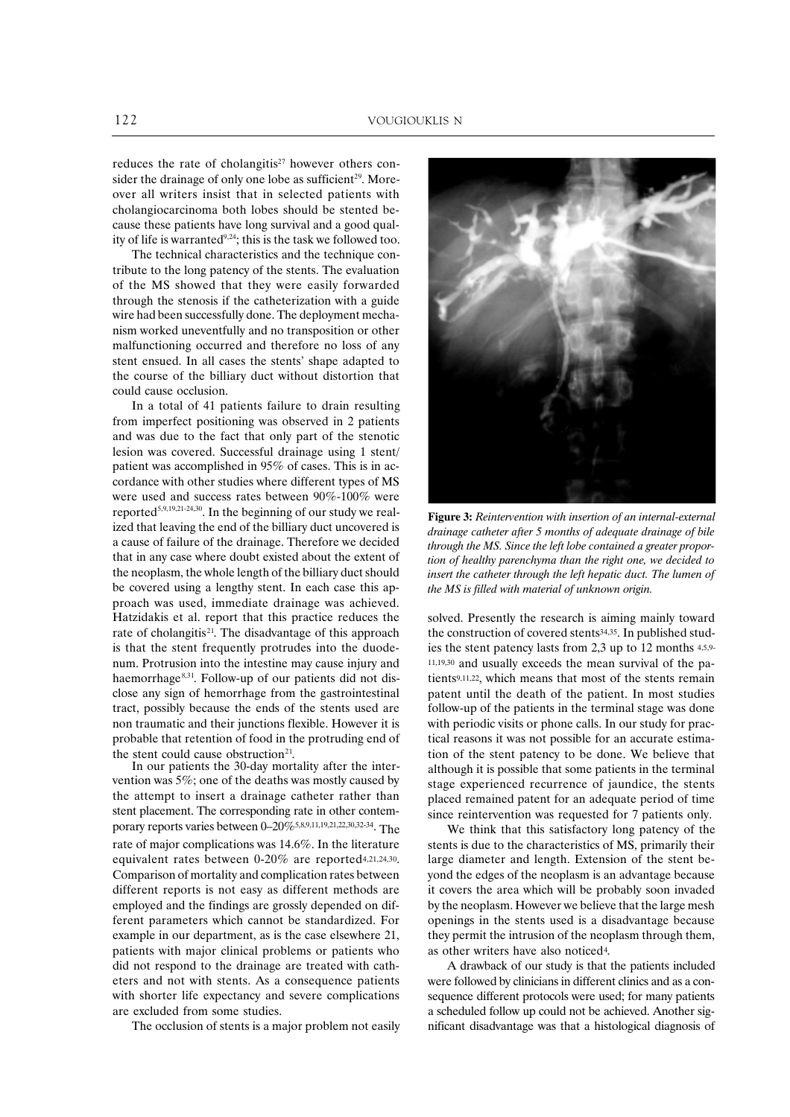reduces the rate of cholangitis<sup>27</sup> however others consider the drainage of only one lobe as sufficient<sup>29</sup>. Moreover all writers insist that in selected patients with cholangiocarcinoma both lobes should be stented because these patients have long survival and a good quality of life is warranted<sup>9,24</sup>; this is the task we followed too.

The technical characteristics and the technique contribute to the long patency of the stents. The evaluation of the MS showed that they were easily forwarded through the stenosis if the catheterization with a guide wire had been successfully done. The deployment mechanism worked uneventfully and no transposition or other malfunctioning occurred and therefore no loss of any stent ensued. In all cases the stents' shape adapted to the course of the billiary duct without distortion that could cause occlusion.

In a total of 41 patients failure to drain resulting from imperfect positioning was observed in 2 patients and was due to the fact that only part of the stenotic lesion was covered. Successful drainage using 1 stent/ patient was accomplished in 95% of cases. This is in accordance with other studies where different types of MS were used and success rates between 90%-100% were reported<sup>5,9,19,21-24,30</sup>. In the beginning of our study we realized that leaving the end of the billiary duct uncovered is a cause of failure of the drainage. Therefore we decided that in any case where doubt existed about the extent of the neoplasm, the whole length of the billiary duct should be covered using a lengthy stent. In each case this approach was used, immediate drainage was achieved. Hatzidakis et al. report that this practice reduces the rate of cholangitis<sup>21</sup>. The disadvantage of this approach is that the stent frequently protrudes into the duodenum. Protrusion into the intestine may cause injury and haemorrhage<sup>8,31</sup>. Follow-up of our patients did not disclose any sign of hemorrhage from the gastrointestinal tract, possibly because the ends of the stents used are non traumatic and their junctions flexible. However it is probable that retention of food in the protruding end of the stent could cause obstruction<sup>21</sup>.

In our patients the 30-day mortality after the intervention was  $5\%$ ; one of the deaths was mostly caused by the attempt to insert a drainage catheter rather than stent placement. The corresponding rate in other contemporary reports varies between  $0-20\%$  5,8,9,11,19,21,22,30,32-34. The rate of major complications was 14.6%. In the literature equivalent rates between 0-20% are reported<sup>4,21,24,30</sup>. Comparison of mortality and complication rates between different reports is not easy as different methods are employed and the findings are grossly depended on different parameters which cannot be standardized. For example in our department, as is the case elsewhere 21, patients with major clinical problems or patients who did not respond to the drainage are treated with catheters and not with stents. As a consequence patients with shorter life expectancy and severe complications are excluded from some studies.

The occlusion of stents is a major problem not easily



Figure 3: Reintervention with insertion of an internal-external drainage catheter after 5 months of adequate drainage of bile through the MS. Since the left lobe contained a greater proportion of healthy parenchyma than the right one, we decided to insert the catheter through the left hepatic duct. The lumen of the MS is filled with material of unknown origin.

solved. Presently the research is aiming mainly toward the construction of covered stents<sup>34,35</sup>. In published studies the stent patency lasts from 2,3 up to 12 months 4,5,9- $11,19,30$  and usually exceeds the mean survival of the patients9,11,22, which means that most of the stents remain patent until the death of the patient. In most studies follow-up of the patients in the terminal stage was done with periodic visits or phone calls. In our study for practical reasons it was not possible for an accurate estimation of the stent patency to be done. We believe that although it is possible that some patients in the terminal stage experienced recurrence of jaundice, the stents placed remained patent for an adequate period of time since reintervention was requested for 7 patients only.

We think that this satisfactory long patency of the stents is due to the characteristics of MS, primarily their large diameter and length. Extension of the stent bevond the edges of the neoplasm is an advantage because it covers the area which will be probably soon invaded by the neoplasm. However we believe that the large mesh openings in the stents used is a disadvantage because they permit the intrusion of the neoplasm through them, as other writers have also noticed<sup>4</sup>.

A drawback of our study is that the patients included were followed by clinicians in different clinics and as a consequence different protocols were used; for many patients a scheduled follow up could not be achieved. Another significant disadvantage was that a histological diagnosis of